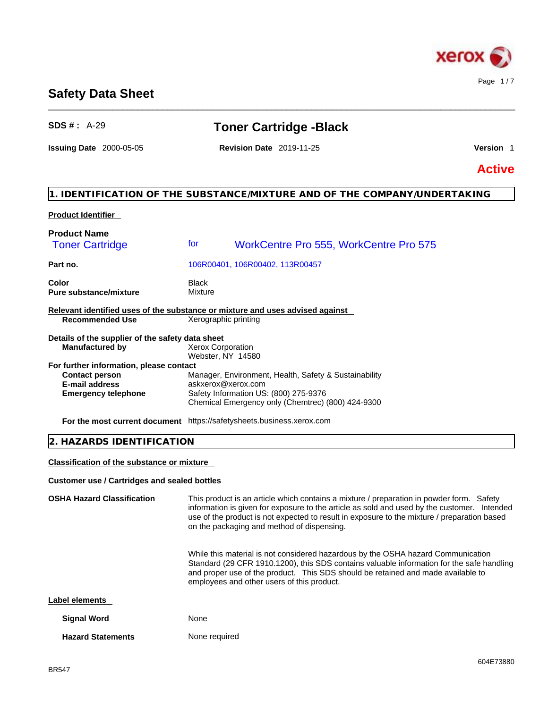

# **Safety Data Sheet**

# **SDS # :** A-29 **Toner Cartridge -Black**

\_\_\_\_\_\_\_\_\_\_\_\_\_\_\_\_\_\_\_\_\_\_\_\_\_\_\_\_\_\_\_\_\_\_\_\_\_\_\_\_\_\_\_\_\_\_\_\_\_\_\_\_\_\_\_\_\_\_\_\_\_\_\_\_\_\_\_\_\_\_\_\_\_\_\_\_\_\_\_\_\_\_\_\_\_\_\_\_\_\_\_\_\_\_

**Issuing Date** 2000-05-05 **Revision Date** 2019-11-25 **Version** 1

**Active**

# **1. IDENTIFICATION OF THE SUBSTANCE/MIXTURE AND OF THE COMPANY/UNDERTAKING**

#### **Product Identifier**

| <b>Product Name</b><br><b>Toner Cartridge</b>                         | for<br><b>WorkCentre Pro 555, WorkCentre Pro 575</b>                                                                                                                      |
|-----------------------------------------------------------------------|---------------------------------------------------------------------------------------------------------------------------------------------------------------------------|
| Part no.                                                              | 106R00401, 106R00402, 113R00457                                                                                                                                           |
| Color<br><b>Pure substance/mixture</b>                                | Black<br>Mixture                                                                                                                                                          |
|                                                                       | Relevant identified uses of the substance or mixture and uses advised against                                                                                             |
| <b>Recommended Use</b>                                                | Xerographic printing                                                                                                                                                      |
| Details of the supplier of the safety data sheet                      |                                                                                                                                                                           |
| <b>Manufactured by</b>                                                | <b>Xerox Corporation</b><br>Webster, NY 14580                                                                                                                             |
| For further information, please contact                               |                                                                                                                                                                           |
| <b>Contact person</b><br>E-mail address<br><b>Emergency telephone</b> | Manager, Environment, Health, Safety & Sustainability<br>askxerox@xerox.com<br>Safety Information US: (800) 275-9376<br>Chemical Emergency only (Chemtrec) (800) 424-9300 |

**For the most current document** https://safetysheets.business.xerox.com

# **2. HAZARDS IDENTIFICATION**

**Classification of the substance or mixture**

#### **Customer use / Cartridges and sealed bottles**

**OSHA Hazard Classification** This product is an article which contains a mixture / preparation in powder form. Safety information is given for exposure to the article as sold and used by the customer. Intended use of the product is not expected to result in exposure to the mixture / preparation based on the packaging and method of dispensing. While this material is not considered hazardous by the OSHA hazard Communication Standard (29 CFR 1910.1200), this SDS contains valuable information for the safe handling and proper use of the product. This SDS should be retained and made available to employees and other users of this product. **Label elements Signal Word** None **Hazard Statements** None required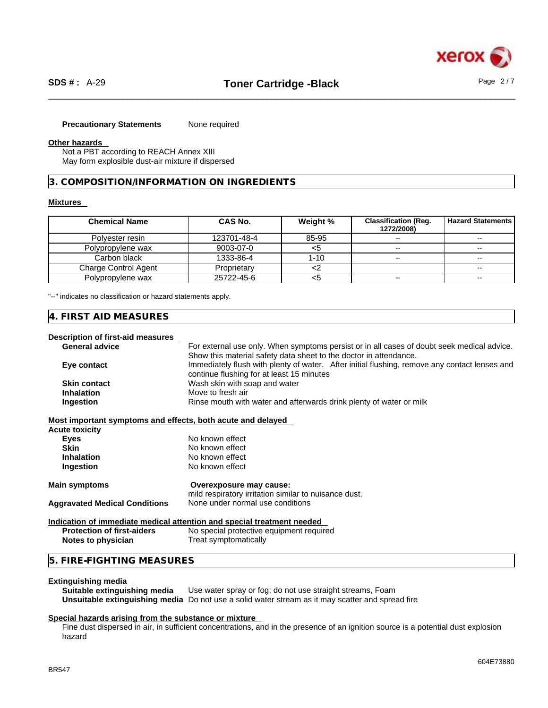# **Precautionary Statements** None required

#### **Other hazards**

Not a PBT according to REACH Annex XIII May form explosible dust-air mixture if dispersed

**3. COMPOSITION/INFORMATION ON INGREDIENTS** 

#### **Mixtures**

| <b>Chemical Name</b> | CAS No.     | Weight % | <b>Classification (Req.</b><br>1272/2008) | l Hazard Statements I    |
|----------------------|-------------|----------|-------------------------------------------|--------------------------|
| Polyester resin      | 123701-48-4 | 85-95    | $\sim$                                    | $- -$                    |
| Polypropylene wax    | 9003-07-0   | <ລ       | $- -$                                     | $\sim$                   |
| Carbon black         | 1333-86-4   | 1-10     | $\overline{\phantom{m}}$                  | $\sim$                   |
| Charge Control Agent | Proprietary |          |                                           | $\overline{\phantom{m}}$ |
| Polypropylene wax    | 25722-45-6  | <ວ       | $- -$                                     | $\overline{\phantom{m}}$ |

"--" indicates no classification or hazard statements apply.

#### **4. FIRST AID MEASURES**

#### **Description of first-aid measures**

| <b>General advice</b>                                       | For external use only. When symptoms persist or in all cases of doubt seek medical advice.    |
|-------------------------------------------------------------|-----------------------------------------------------------------------------------------------|
|                                                             | Show this material safety data sheet to the doctor in attendance.                             |
| Eye contact                                                 | Immediately flush with plenty of water. After initial flushing, remove any contact lenses and |
|                                                             | continue flushing for at least 15 minutes                                                     |
| <b>Skin contact</b>                                         | Wash skin with soap and water                                                                 |
| <b>Inhalation</b>                                           | Move to fresh air                                                                             |
| Ingestion                                                   | Rinse mouth with water and afterwards drink plenty of water or milk                           |
| Most important symptoms and effects, both acute and delayed |                                                                                               |
| Acute toxicity                                              |                                                                                               |
| Eyes                                                        | No known effect                                                                               |
| <b>Skin</b>                                                 | No known effect                                                                               |
| <b>Inhalation</b>                                           | No known effect                                                                               |
| Ingestion                                                   | No known effect                                                                               |
| <b>Main symptoms</b>                                        | Overexposure may cause:                                                                       |
|                                                             | mild respiratory irritation similar to nuisance dust.                                         |
| <b>Aggravated Medical Conditions</b>                        | None under normal use conditions                                                              |
|                                                             | Indication of immediate medical attention and special treatment needed                        |
| <b>Protection of first-aiders</b>                           | No special protective equipment required                                                      |
| Notes to physician                                          | Treat symptomatically                                                                         |
| 5. FIRE-FIGHTING MEASURES                                   |                                                                                               |

**Extinguishing media**  Use water spray or fog; do not use straight streams, Foam **Unsuitable extinguishing media** Do not use a solid water stream as it may scatterand spread fire

#### **Special hazards arising from the substance or mixture**

Fine dust dispersed in air, in sufficient concentrations, and in the presence of an ignition source is a potential dust explosion hazard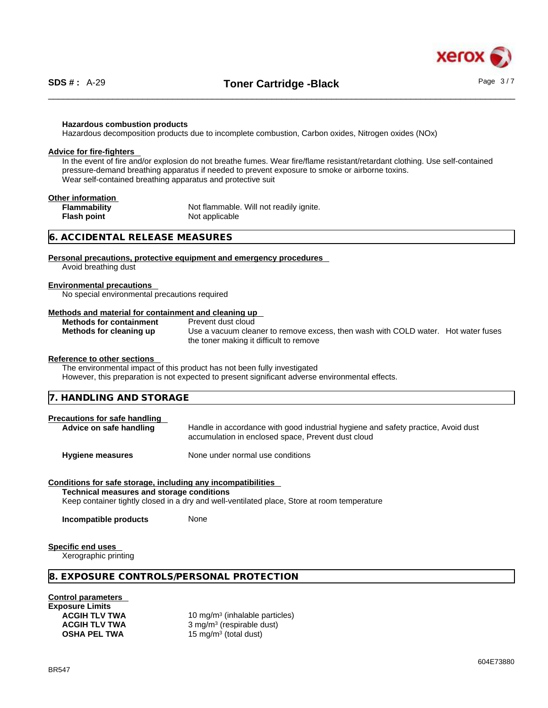

#### **Hazardous combustion products**

Hazardous decomposition products due to incomplete combustion, Carbon oxides, Nitrogen oxides (NOx)

#### **Advice for fire-fighters**

In the event of fire and/or explosion do not breathe fumes. Wear fire/flame resistant/retardant clothing. Use self-contained pressure-demand breathing apparatus if needed to prevent exposure to smoke or airborne toxins. Wear self-contained breathing apparatus and protective suit

### **Other information**

**Flash point** Not applicable

**Flammability** Not flammable. Will not readily ignite.

#### **6. ACCIDENTAL RELEASE MEASURES**

#### **Personal precautions, protective equipment and emergency procedures**

Avoid breathing dust

#### **Environmental precautions**

No special environmental precautions required

#### **Methods and material for containment and cleaning up**

|  | <b>Methods for containment</b> |
|--|--------------------------------|
|  | Methods for cleaning up        |

**Prevent dust cloud** Use a vacuum cleaner to remove excess, then wash with COLD water. Hot water fuses the toner making it difficult to remove

#### **Reference to other sections**

The environmental impact of this product has not been fully investigated

However, this preparation is not expected to present significant adverse environmental effects.

| $\sim$ $\sim$ $\sim$ $\sim$ $\sim$ $\sim$<br>17.<br>.<br>-<br>ᆟᆝᄔ<br>.<br>77 ™<br><b>这个人的人都是一个人的人,就是一个人的人,就是一个人的人,就是一个人的人,就是一个人的人,就是一个人的人,就是一个人的人,就是一个人的人,就是一个人的人,</b> |
|------------------------------------------------------------------------------------------------------------------------------------------------------------------------|
|------------------------------------------------------------------------------------------------------------------------------------------------------------------------|

### **Precautions for safe handling**

**Advice on safe handling** Handle in accordance with good industrial hygiene and safety practice, Avoid dust accumulation in enclosed space, Prevent dust cloud

**Hygiene measures** None under normal use conditions

## **Conditions for safe storage, including any incompatibilities**

**Technical measures and storage conditions**

Keep container tightly closed in a dry and well-ventilated place, Store at room temperature

**Incompatible products** None

#### **Specific end uses**

Xerographic printing

#### **8. EXPOSURE CONTROLS/PERSONAL PROTECTION**

#### **Control parameters**

**Exposure Limits**

ACGIH TLV TWA **10 mg/m<sup>3</sup> (inhalable particles) ACGIH TLV TWA** 3 mg/m<sup>3</sup> (respirable dust) **OSHA PEL TWA** 15 mg/m<sup>3</sup> (total dust)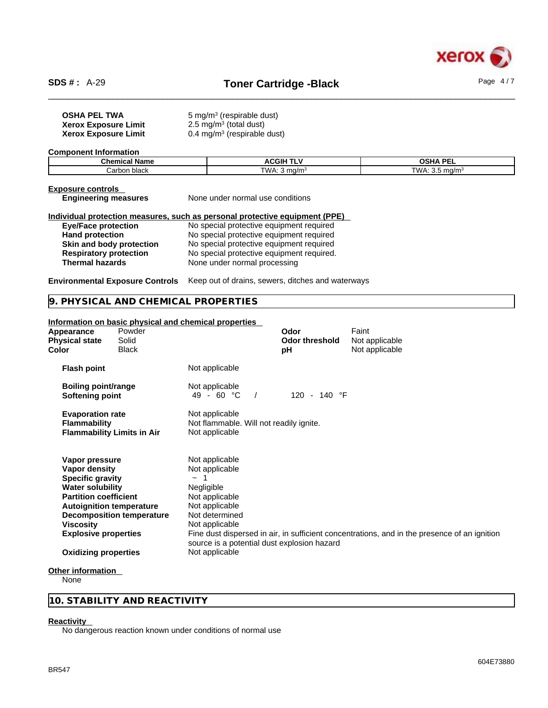

| <b>OSHA PEL TWA</b>                    | $5 \,\mathrm{mg/m^3}$ (respirable dust)                                     |                           |
|----------------------------------------|-----------------------------------------------------------------------------|---------------------------|
| <b>Xerox Exposure Limit</b>            | 2.5 mg/m <sup>3</sup> (total dust)                                          |                           |
| <b>Xerox Exposure Limit</b>            | $0.4 \text{ mg/m}^3$ (respirable dust)                                      |                           |
| <b>Component Information</b>           |                                                                             |                           |
| <b>Chemical Name</b>                   | <b>ACGIH TLV</b>                                                            | <b>OSHA PEL</b>           |
| Carbon black                           | TWA: $3 \text{ mg/m}^3$                                                     | TWA: $3.5 \text{ mg/m}^3$ |
| <b>Exposure controls</b>               |                                                                             |                           |
| <b>Engineering measures</b>            | None under normal use conditions                                            |                           |
|                                        | Individual protection measures, such as personal protective equipment (PPE) |                           |
| <b>Eye/Face protection</b>             | No special protective equipment required                                    |                           |
| <b>Hand protection</b>                 | No special protective equipment required                                    |                           |
| Skin and body protection               | No special protective equipment required                                    |                           |
| <b>Respiratory protection</b>          | No special protective equipment required.                                   |                           |
| <b>Thermal hazards</b>                 | None under normal processing                                                |                           |
| <b>Environmental Exposure Controls</b> | Keep out of drains, sewers, ditches and waterways                           |                           |
| 9. PHYSICAL AND CHEMICAL PROPERTIES    |                                                                             |                           |
|                                        |                                                                             |                           |

# **Information on basic physical and chemical properties**

| Powder<br>Appearance<br>Solid<br><b>Physical state</b><br>Color<br><b>Black</b>                                                                                                                                                          |                                                                                                                                                                                   | Odor<br><b>Odor threshold</b><br>pH | Faint<br>Not applicable<br>Not applicable                                                    |
|------------------------------------------------------------------------------------------------------------------------------------------------------------------------------------------------------------------------------------------|-----------------------------------------------------------------------------------------------------------------------------------------------------------------------------------|-------------------------------------|----------------------------------------------------------------------------------------------|
| <b>Flash point</b>                                                                                                                                                                                                                       | Not applicable                                                                                                                                                                    |                                     |                                                                                              |
| <b>Boiling point/range</b><br>Softening point                                                                                                                                                                                            | Not applicable<br>49 - 60 °C                                                                                                                                                      | 120 - 140 °F                        |                                                                                              |
| <b>Evaporation rate</b><br><b>Flammability</b><br><b>Flammability Limits in Air</b>                                                                                                                                                      | Not applicable<br>Not flammable. Will not readily ignite.<br>Not applicable                                                                                                       |                                     |                                                                                              |
| Vapor pressure<br>Vapor density<br><b>Specific gravity</b><br><b>Water solubility</b><br><b>Partition coefficient</b><br><b>Autoignition temperature</b><br><b>Decomposition temperature</b><br>Viscosity<br><b>Explosive properties</b> | Not applicable<br>Not applicable<br>$\sim$ 1<br>Negligible<br>Not applicable<br>Not applicable<br>Not determined<br>Not applicable<br>source is a potential dust explosion hazard |                                     | Fine dust dispersed in air, in sufficient concentrations, and in the presence of an ignition |
| <b>Oxidizing properties</b>                                                                                                                                                                                                              | Not applicable                                                                                                                                                                    |                                     |                                                                                              |
| Other information                                                                                                                                                                                                                        |                                                                                                                                                                                   |                                     |                                                                                              |

#### **Other information**

None

# **10. STABILITY AND REACTIVITY**

## **Reactivity**

No dangerous reaction known under conditions of normal use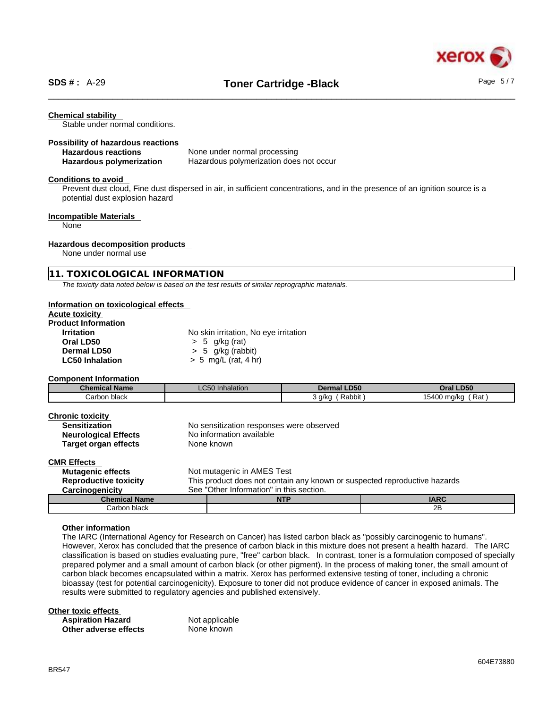

#### **Chemical stability**

Stable under normal conditions.

#### **Possibility of hazardous reactions**

| <b>Hazardous reactions</b> | None under normal processing            |
|----------------------------|-----------------------------------------|
| Hazardous polymerization   | Hazardous polymerization does not occur |

#### **Conditions to avoid**

Prevent dust cloud, Fine dust dispersed in air, in sufficient concentrations, and in the presence of an ignition source is a potential dust explosion hazard

#### **Incompatible Materials**

None

#### **Hazardous decomposition products**

None under normal use

#### **11. TOXICOLOGICAL INFORMATION**

*The toxicity data noted below is based on the test results of similar reprographic materials.* 

#### **Information on toxicological effects**

# **Acute toxicity**

| <b>Product Information</b> |                        |
|----------------------------|------------------------|
| <b>Irritation</b>          | No skin irritation, No |
| Oral LD50                  | $> 5$ g/kg (rat)       |
| Dermal LD50                | $> 5$ g/kg (rabbit)    |

irritation, No eye irritation g/kg (rat) **LC50 Inhalation**  $\rightarrow$  5 mg/L (rat, 4 hr)

#### **Component Information**

| Chemical Name | $\mathbf{a} = \mathbf{a}$<br>Inhalation<br>_C50 I | <b>LD50</b><br>Dermal | <b>Oral LD50</b>                       |
|---------------|---------------------------------------------------|-----------------------|----------------------------------------|
| Carbon black  |                                                   | Rabbit<br>a/kc        | 15400<br>$D_{n+}$<br>) ma/ka<br>' Rdi. |

| <b>Chronic toxicity</b><br><b>Sensitization</b><br><b>Neurological Effects</b> | No sensitization responses were observed<br>No information available      |  |
|--------------------------------------------------------------------------------|---------------------------------------------------------------------------|--|
|                                                                                |                                                                           |  |
| Target organ effects                                                           | None known                                                                |  |
| <b>CMR Effects</b>                                                             |                                                                           |  |
| <b>Mutagenic effects</b>                                                       | Not mutagenic in AMES Test                                                |  |
| <b>Reproductive toxicity</b>                                                   | This product does not contain any known or suspected reproductive hazards |  |
| Carcinogenicity                                                                | See "Other Information" in this section.                                  |  |

**Chemical Name And Internal Chemical Name And Internal Chemical Name And IARC INTP** 

# **Other information**

The IARC (International Agency for Research on Cancer) has listed carbon black as "possibly carcinogenic to humans". However, Xerox has concluded that the presence of carbon black in this mixture does not present a health hazard. The IARC classification is based on studies evaluating pure, "free" carbon black. In contrast, toner is a formulation composed of specially prepared polymer and a small amount of carbon black (or other pigment). In the process of making toner, the small amount of carbon black becomes encapsulated within a matrix. Xerox has performed extensive testing of toner, including a chronic bioassay (test for potential carcinogenicity). Exposure to toner did not produce evidence of cancer in exposed animals. The results were submitted to regulatory agencies and published extensively.

Carbon black 2B

#### **Other toxic effects**

**Aspiration Hazard Not applicable**<br> **Other adverse effects** Mone known **Other** adverse effects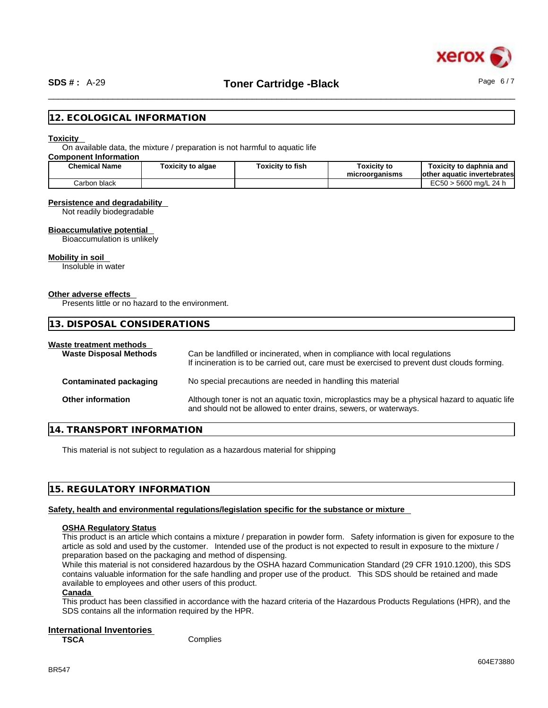

### **12. ECOLOGICAL INFORMATION**

#### **Toxicity**

On available data, the mixture / preparation is not harmful to aquatic life

## **Component Information**

| <b>Chemical Name</b>     | Toxicity to algae | Toxicity to fish | Toxicitv to<br>microorganisms | Toxicitv to daphnia and<br>lother aquatic invertebrates |
|--------------------------|-------------------|------------------|-------------------------------|---------------------------------------------------------|
| <b>Carbon</b><br>ı black |                   |                  |                               | EC50<br>. 5600 ma/L 24 h                                |

#### **Persistence and degradability**

Not readily biodegradable

#### **Bioaccumulative potential**

Bioaccumulation is unlikely

#### **Mobility in soil**

Insoluble in water

#### **Other adverse effects**

Presents little or no hazard to the environment.

| 13. DISPOSAL CONSIDERATIONS                              |                                                                                                                                                                             |  |
|----------------------------------------------------------|-----------------------------------------------------------------------------------------------------------------------------------------------------------------------------|--|
| Waste treatment methods<br><b>Waste Disposal Methods</b> | Can be landfilled or incinerated, when in compliance with local regulations<br>If incineration is to be carried out, care must be exercised to prevent dust clouds forming. |  |
| <b>Contaminated packaging</b>                            | No special precautions are needed in handling this material                                                                                                                 |  |
| <b>Other information</b>                                 | Although toner is not an aquatic toxin, microplastics may be a physical hazard to aquatic life<br>and should not be allowed to enter drains, sewers, or waterways.          |  |

### **14. TRANSPORT INFORMATION**

This material is not subject to regulation as a hazardous material for shipping

## **15. REGULATORY INFORMATION**

#### **Safety, health and environmental regulations/legislation specific for the substance or mixture**

#### **OSHA Regulatory Status**

This product is an article which contains a mixture / preparation in powder form. Safety information is given for exposure to the article as sold and used by the customer. Intended use of the product is not expected to result in exposure to the mixture / preparation based on the packaging and method of dispensing.

While this material is not considered hazardous by the OSHA hazard Communication Standard (29 CFR 1910.1200), this SDS contains valuable information for the safe handling and proper use of the product. This SDS should be retained and made available to employees and other users of this product.

#### **Canada**

This product has been classified in accordance with the hazard criteria of the Hazardous Products Regulations (HPR), and the SDS contains all the information required by the HPR.

#### **International Inventories**

**TSCA** Complies